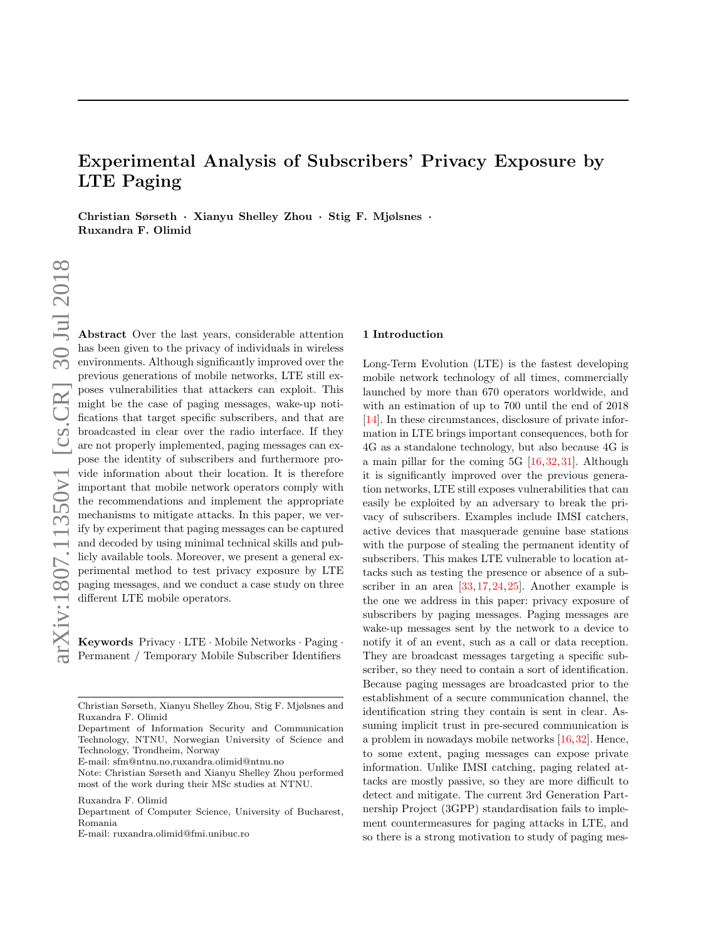# Experimental Analysis of Subscribers' Privacy Exposure by LTE Paging

Christian Sørseth · Xianyu Shelley Zhou · Stig F. Mjølsnes · Ruxandra F. Olimid

Abstract Over the last years, considerable attention has been given to the privacy of individuals in wireless environments. Although significantly improved over the previous generations of mobile networks, LTE still exposes vulnerabilities that attackers can exploit. This might be the case of paging messages, wake-up notifications that target specific subscribers, and that are broadcasted in clear over the radio interface. If they are not properly implemented, paging messages can expose the identity of subscribers and furthermore provide information about their location. It is therefore important that mobile network operators comply with the recommendations and implement the appropriate mechanisms to mitigate attacks. In this paper, we verify by experiment that paging messages can be captured and decoded by using minimal technical skills and publicly available tools. Moreover, we present a general experimental method to test privacy exposure by LTE paging messages, and we conduct a case study on three different LTE mobile operators.

Keywords Privacy · LTE · Mobile Networks · Paging · Permanent / Temporary Mobile Subscriber Identifiers

Department of Information Security and Communication Technology, NTNU, Norwegian University of Science and Technology, Trondheim, Norway

E-mail: sfm@ntnu.no,ruxandra.olimid@ntnu.no

Note: Christian Sørseth and Xianyu Shelley Zhou performed most of the work during their MSc studies at NTNU.

Ruxandra F. Olimid

Department of Computer Science, University of Bucharest, Romania

#### 1 Introduction

Long-Term Evolution (LTE) is the fastest developing mobile network technology of all times, commercially launched by more than 670 operators worldwide, and with an estimation of up to 700 until the end of 2018 [14]. In these circumstances, disclosure of private information in LTE brings important consequences, both for 4G as a standalone technology, but also because 4G is a main pillar for the coming  $5G$   $[16,32,31]$ . Although it is significantly improved over the previous generation networks, LTE still exposes vulnerabilities that can easily be exploited by an adversary to break the privacy of subscribers. Examples include IMSI catchers, active devices that masquerade genuine base stations with the purpose of stealing the permanent identity of subscribers. This makes LTE vulnerable to location attacks such as testing the presence or absence of a subscriber in an area  $[33, 17, 24, 25]$ . Another example is the one we address in this paper: privacy exposure of subscribers by paging messages. Paging messages are wake-up messages sent by the network to a device to notify it of an event, such as a call or data reception. They are broadcast messages targeting a specific subscriber, so they need to contain a sort of identification. Because paging messages are broadcasted prior to the establishment of a secure communication channel, the identification string they contain is sent in clear. Assuming implicit trust in pre-secured communication is a problem in nowadays mobile networks [16,32]. Hence, to some extent, paging messages can expose private information. Unlike IMSI catching, paging related attacks are mostly passive, so they are more difficult to detect and mitigate. The current 3rd Generation Partnership Project (3GPP) standardisation fails to implement countermeasures for paging attacks in LTE, and so there is a strong motivation to study of paging mes-

Christian Sørseth, Xianyu Shelley Zhou, Stig F. Mjølsnes and Ruxandra F. Olimid

E-mail: ruxandra.olimid@fmi.unibuc.ro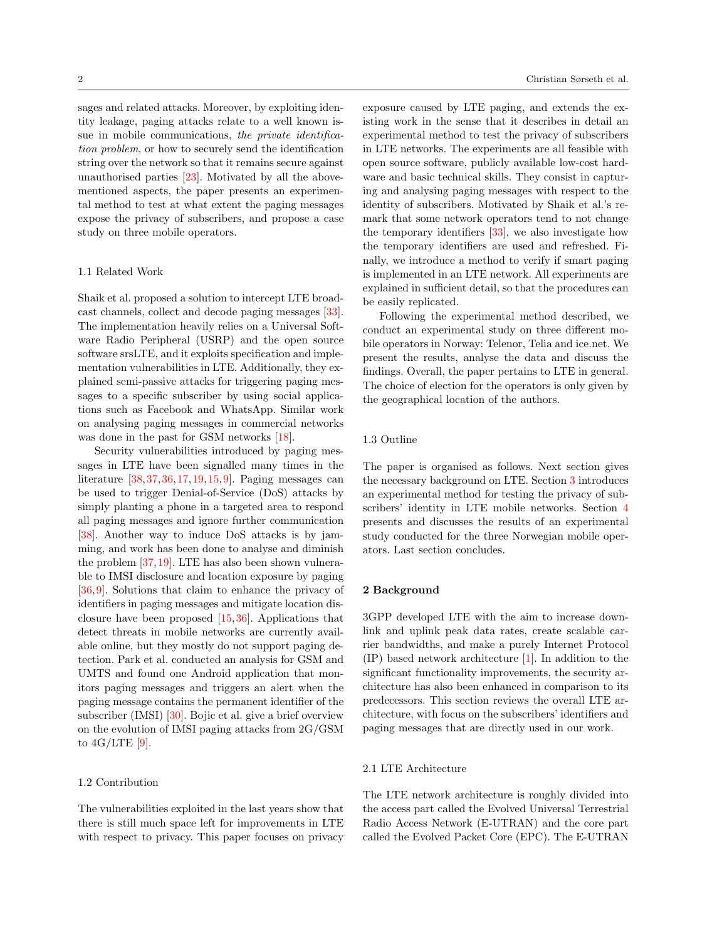sages and related attacks. Moreover, by exploiting identity leakage, paging attacks relate to a well known issue in mobile communications, the private identification problem, or how to securely send the identification string over the network so that it remains secure against unauthorised parties [23]. Motivated by all the abovementioned aspects, the paper presents an experimental method to test at what extent the paging messages expose the privacy of subscribers, and propose a case study on three mobile operators.

## 1.1 Related Work

Shaik et al. proposed a solution to intercept LTE broadcast channels, collect and decode paging messages [33]. The implementation heavily relies on a Universal Software Radio Peripheral (USRP) and the open source software srsLTE, and it exploits specification and implementation vulnerabilities in LTE. Additionally, they explained semi-passive attacks for triggering paging messages to a specific subscriber by using social applications such as Facebook and WhatsApp. Similar work on analysing paging messages in commercial networks was done in the past for GSM networks [18].

Security vulnerabilities introduced by paging messages in LTE have been signalled many times in the literature [38,37,36,17,19,15,9]. Paging messages can be used to trigger Denial-of-Service (DoS) attacks by simply planting a phone in a targeted area to respond all paging messages and ignore further communication [38]. Another way to induce DoS attacks is by jamming, and work has been done to analyse and diminish the problem [37,19]. LTE has also been shown vulnerable to IMSI disclosure and location exposure by paging [36,9]. Solutions that claim to enhance the privacy of identifiers in paging messages and mitigate location disclosure have been proposed [15,36]. Applications that detect threats in mobile networks are currently available online, but they mostly do not support paging detection. Park et al. conducted an analysis for GSM and UMTS and found one Android application that monitors paging messages and triggers an alert when the paging message contains the permanent identifier of the subscriber (IMSI) [30]. Bojic et al. give a brief overview on the evolution of IMSI paging attacks from 2G/GSM to  $4G/LTE$  [9].

#### 1.2 Contribution

The vulnerabilities exploited in the last years show that there is still much space left for improvements in LTE with respect to privacy. This paper focuses on privacy

exposure caused by LTE paging, and extends the existing work in the sense that it describes in detail an experimental method to test the privacy of subscribers in LTE networks. The experiments are all feasible with open source software, publicly available low-cost hardware and basic technical skills. They consist in capturing and analysing paging messages with respect to the identity of subscribers. Motivated by Shaik et al.'s remark that some network operators tend to not change the temporary identifiers [33], we also investigate how the temporary identifiers are used and refreshed. Finally, we introduce a method to verify if smart paging is implemented in an LTE network. All experiments are explained in sufficient detail, so that the procedures can be easily replicated.

Following the experimental method described, we conduct an experimental study on three different mobile operators in Norway: Telenor, Telia and ice.net. We present the results, analyse the data and discuss the findings. Overall, the paper pertains to LTE in general. The choice of election for the operators is only given by the geographical location of the authors.

# 1.3 Outline

The paper is organised as follows. Next section gives the necessary background on LTE. Section 3 introduces an experimental method for testing the privacy of subscribers' identity in LTE mobile networks. Section 4 presents and discusses the results of an experimental study conducted for the three Norwegian mobile operators. Last section concludes.

#### 2 Background

3GPP developed LTE with the aim to increase downlink and uplink peak data rates, create scalable carrier bandwidths, and make a purely Internet Protocol (IP) based network architecture [1]. In addition to the significant functionality improvements, the security architecture has also been enhanced in comparison to its predecessors. This section reviews the overall LTE architecture, with focus on the subscribers' identifiers and paging messages that are directly used in our work.

# 2.1 LTE Architecture

The LTE network architecture is roughly divided into the access part called the Evolved Universal Terrestrial Radio Access Network (E-UTRAN) and the core part called the Evolved Packet Core (EPC). The E-UTRAN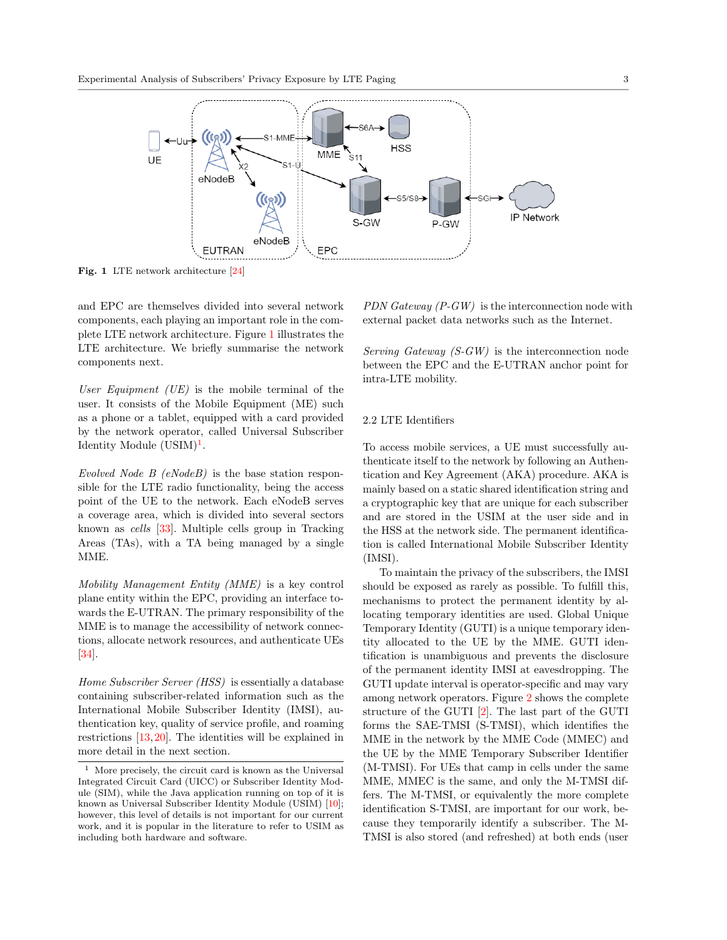

Fig. 1 LTE network architecture [24]

and EPC are themselves divided into several network components, each playing an important role in the complete LTE network architecture. Figure 1 illustrates the LTE architecture. We briefly summarise the network components next.

User Equipment  $(UE)$  is the mobile terminal of the user. It consists of the Mobile Equipment (ME) such as a phone or a tablet, equipped with a card provided by the network operator, called Universal Subscriber Identity Module  $(USIM)^1$ .

Evolved Node B  $(eNodeB)$  is the base station responsible for the LTE radio functionality, being the access point of the UE to the network. Each eNodeB serves a coverage area, which is divided into several sectors known as cells [33]. Multiple cells group in Tracking Areas (TAs), with a TA being managed by a single MME.

Mobility Management Entity (MME) is a key control plane entity within the EPC, providing an interface towards the E-UTRAN. The primary responsibility of the MME is to manage the accessibility of network connections, allocate network resources, and authenticate UEs [34].

Home Subscriber Server (HSS) is essentially a database containing subscriber-related information such as the International Mobile Subscriber Identity (IMSI), authentication key, quality of service profile, and roaming restrictions  $[13,20]$ . The identities will be explained in more detail in the next section.

PDN Gateway  $(P-GW)$  is the interconnection node with external packet data networks such as the Internet.

Serving Gateway  $(S-GW)$  is the interconnection node between the EPC and the E-UTRAN anchor point for intra-LTE mobility.

# 2.2 LTE Identifiers

To access mobile services, a UE must successfully authenticate itself to the network by following an Authentication and Key Agreement (AKA) procedure. AKA is mainly based on a static shared identification string and a cryptographic key that are unique for each subscriber and are stored in the USIM at the user side and in the HSS at the network side. The permanent identification is called International Mobile Subscriber Identity (IMSI).

To maintain the privacy of the subscribers, the IMSI should be exposed as rarely as possible. To fulfill this, mechanisms to protect the permanent identity by allocating temporary identities are used. Global Unique Temporary Identity (GUTI) is a unique temporary identity allocated to the UE by the MME. GUTI identification is unambiguous and prevents the disclosure of the permanent identity IMSI at eavesdropping. The GUTI update interval is operator-specific and may vary among network operators. Figure 2 shows the complete structure of the GUTI [2]. The last part of the GUTI forms the SAE-TMSI (S-TMSI), which identifies the MME in the network by the MME Code (MMEC) and the UE by the MME Temporary Subscriber Identifier (M-TMSI). For UEs that camp in cells under the same MME, MMEC is the same, and only the M-TMSI differs. The M-TMSI, or equivalently the more complete identification S-TMSI, are important for our work, because they temporarily identify a subscriber. The M-TMSI is also stored (and refreshed) at both ends (user

<sup>1</sup> More precisely, the circuit card is known as the Universal Integrated Circuit Card (UICC) or Subscriber Identity Module (SIM), while the Java application running on top of it is known as Universal Subscriber Identity Module (USIM) [10]; however, this level of details is not important for our current work, and it is popular in the literature to refer to USIM as including both hardware and software.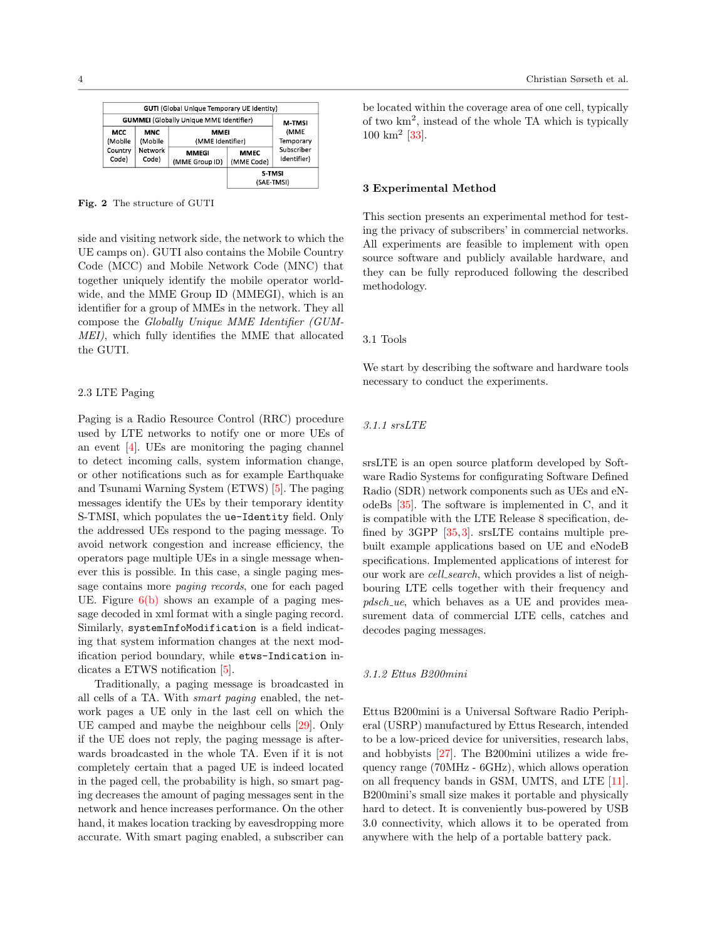| <b>GUTI</b> (Global Unique Temporary UE Identity) |                  |                                 |                           |                           |
|---------------------------------------------------|------------------|---------------------------------|---------------------------|---------------------------|
| <b>GUMMEI</b> (Globally Unique MME Identifier)    |                  |                                 |                           | <b>M-TMSI</b>             |
| MCC<br>MNC<br>(Mobile                             | (Mobile          | <b>MMEI</b><br>(MME Identifier) |                           | (MME<br>Temporary         |
| Country<br>Code)                                  | Network<br>Code) | <b>MMEGI</b><br>(MME Group ID)  | <b>MMEC</b><br>(MME Code) | Subscriber<br>Identifier) |
|                                                   |                  |                                 | S-TMSI<br>(SAE-TMSI)      |                           |

Fig. 2 The structure of GUTI

side and visiting network side, the network to which the UE camps on). GUTI also contains the Mobile Country Code (MCC) and Mobile Network Code (MNC) that together uniquely identify the mobile operator worldwide, and the MME Group ID (MMEGI), which is an identifier for a group of MMEs in the network. They all compose the Globally Unique MME Identifier (GUM-MEI), which fully identifies the MME that allocated the GUTI.

# 2.3 LTE Paging

Paging is a Radio Resource Control (RRC) procedure used by LTE networks to notify one or more UEs of an event  $[4]$ . UEs are monitoring the paging channel to detect incoming calls, system information change, or other notifications such as for example Earthquake and Tsunami Warning System (ETWS) [5]. The paging messages identify the UEs by their temporary identity S-TMSI, which populates the ue-Identity field. Only the addressed UEs respond to the paging message. To avoid network congestion and increase efficiency, the operators page multiple UEs in a single message whenever this is possible. In this case, a single paging message contains more paging records, one for each paged UE. Figure  $6(b)$  shows an example of a paging message decoded in xml format with a single paging record. Similarly, systemInfoModification is a field indicating that system information changes at the next modification period boundary, while etws-Indication indicates a ETWS notification [5].

Traditionally, a paging message is broadcasted in all cells of a TA. With smart paging enabled, the network pages a UE only in the last cell on which the UE camped and maybe the neighbour cells [29]. Only if the UE does not reply, the paging message is afterwards broadcasted in the whole TA. Even if it is not completely certain that a paged UE is indeed located in the paged cell, the probability is high, so smart paging decreases the amount of paging messages sent in the network and hence increases performance. On the other hand, it makes location tracking by eavesdropping more accurate. With smart paging enabled, a subscriber can be located within the coverage area of one cell, typically of two km<sup>2</sup> , instead of the whole TA which is typically  $100 \text{ km}^2$  [33].

# 3 Experimental Method

This section presents an experimental method for testing the privacy of subscribers' in commercial networks. All experiments are feasible to implement with open source software and publicly available hardware, and they can be fully reproduced following the described methodology.

## 3.1 Tools

We start by describing the software and hardware tools necessary to conduct the experiments.

# 3.1.1 srsLTE

srsLTE is an open source platform developed by Software Radio Systems for configurating Software Defined Radio (SDR) network components such as UEs and eNodeBs [35]. The software is implemented in C, and it is compatible with the LTE Release 8 specification, defined by 3GPP [35,3]. srsLTE contains multiple prebuilt example applications based on UE and eNodeB specifications. Implemented applications of interest for our work are cell search, which provides a list of neighbouring LTE cells together with their frequency and pdsch<sub>-ue</sub>, which behaves as a UE and provides measurement data of commercial LTE cells, catches and decodes paging messages.

# 3.1.2 Ettus B200mini

Ettus B200mini is a Universal Software Radio Peripheral (USRP) manufactured by Ettus Research, intended to be a low-priced device for universities, research labs, and hobbyists [27]. The B200mini utilizes a wide frequency range (70MHz - 6GHz), which allows operation on all frequency bands in GSM, UMTS, and LTE [11]. B200mini's small size makes it portable and physically hard to detect. It is conveniently bus-powered by USB 3.0 connectivity, which allows it to be operated from anywhere with the help of a portable battery pack.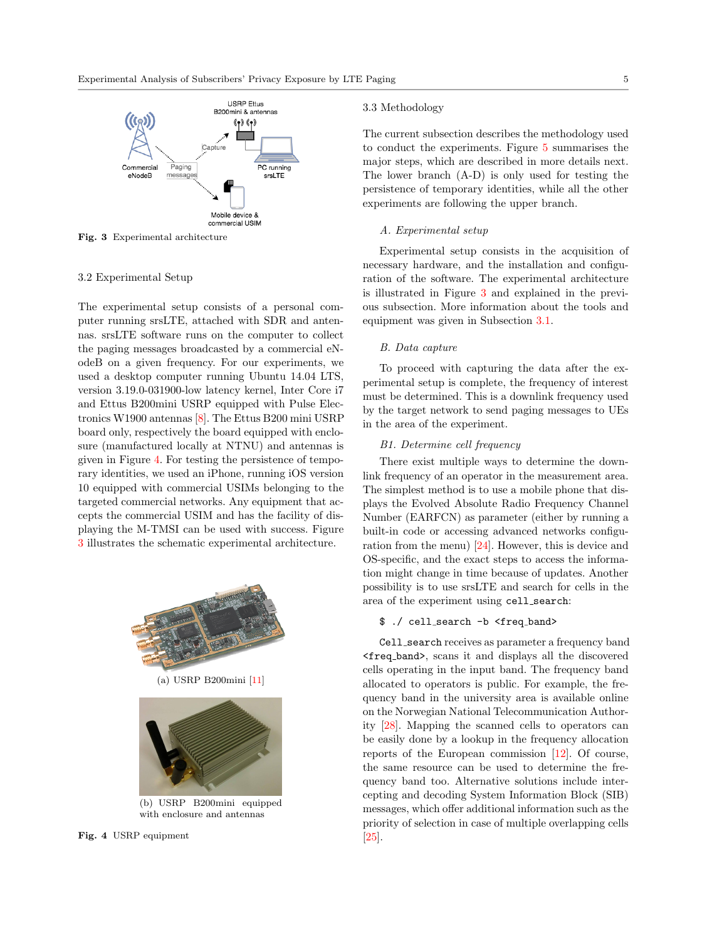

Fig. 3 Experimental architecture

## 3.2 Experimental Setup

The experimental setup consists of a personal computer running srsLTE, attached with SDR and antennas. srsLTE software runs on the computer to collect the paging messages broadcasted by a commercial eNodeB on a given frequency. For our experiments, we used a desktop computer running Ubuntu 14.04 LTS, version 3.19.0-031900-low latency kernel, Inter Core i7 and Ettus B200mini USRP equipped with Pulse Electronics W1900 antennas [8]. The Ettus B200 mini USRP board only, respectively the board equipped with enclosure (manufactured locally at NTNU) and antennas is given in Figure 4. For testing the persistence of temporary identities, we used an iPhone, running iOS version 10 equipped with commercial USIMs belonging to the targeted commercial networks. Any equipment that accepts the commercial USIM and has the facility of displaying the M-TMSI can be used with success. Figure 3 illustrates the schematic experimental architecture.



(a) USRP B200mini [11]



(b) USRP B200mini equipped with enclosure and antennas

## Fig. 4 USRP equipment

#### 3.3 Methodology

The current subsection describes the methodology used to conduct the experiments. Figure 5 summarises the major steps, which are described in more details next. The lower branch (A-D) is only used for testing the persistence of temporary identities, while all the other experiments are following the upper branch.

## A. Experimental setup

Experimental setup consists in the acquisition of necessary hardware, and the installation and configuration of the software. The experimental architecture is illustrated in Figure 3 and explained in the previous subsection. More information about the tools and equipment was given in Subsection 3.1.

#### B. Data capture

To proceed with capturing the data after the experimental setup is complete, the frequency of interest must be determined. This is a downlink frequency used by the target network to send paging messages to UEs in the area of the experiment.

# B1. Determine cell frequency

There exist multiple ways to determine the downlink frequency of an operator in the measurement area. The simplest method is to use a mobile phone that displays the Evolved Absolute Radio Frequency Channel Number (EARFCN) as parameter (either by running a built-in code or accessing advanced networks configuration from the menu) [24]. However, this is device and OS-specific, and the exact steps to access the information might change in time because of updates. Another possibility is to use srsLTE and search for cells in the area of the experiment using cell\_search:

# \$ ./ cell search -b <freq band>

Cell search receives as parameter a frequency band <freq band>, scans it and displays all the discovered cells operating in the input band. The frequency band allocated to operators is public. For example, the frequency band in the university area is available online on the Norwegian National Telecommunication Authority [28]. Mapping the scanned cells to operators can be easily done by a lookup in the frequency allocation reports of the European commission [12]. Of course, the same resource can be used to determine the frequency band too. Alternative solutions include intercepting and decoding System Information Block (SIB) messages, which offer additional information such as the priority of selection in case of multiple overlapping cells [25].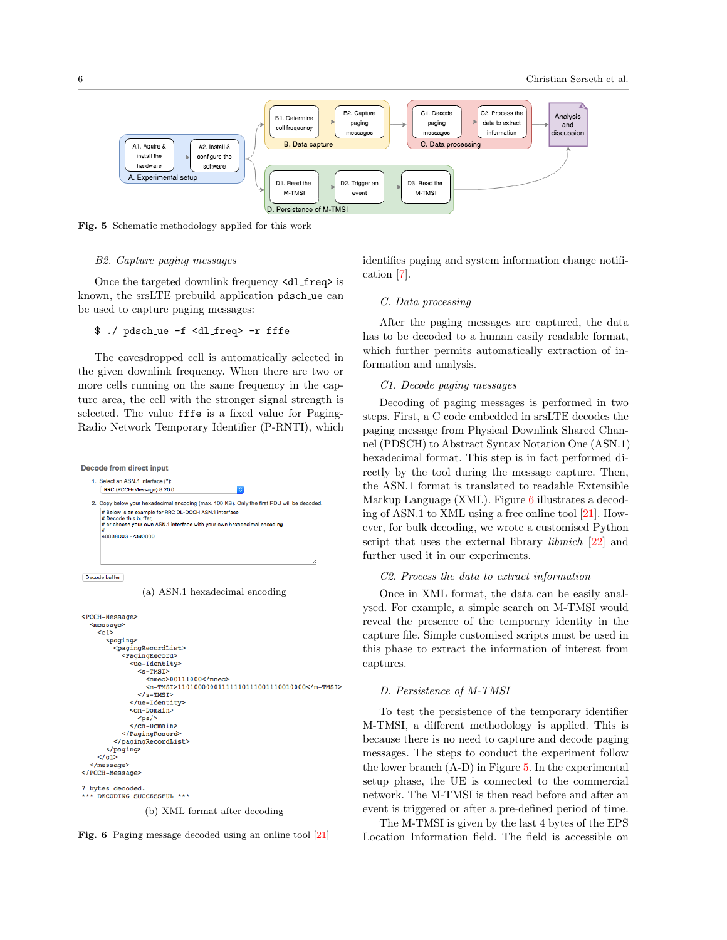

Fig. 5 Schematic methodology applied for this work

## B2. Capture paging messages

Once the targeted downlink frequency <dl\_freq> is known, the srsLTE prebuild application pdsch\_ue can be used to capture paging messages:

```
$ ./ pdsch ue -f <dl freq> -r fffe
```
The eavesdropped cell is automatically selected in the given downlink frequency. When there are two or more cells running on the same frequency in the capture area, the cell with the stronger signal strength is selected. The value fffe is a fixed value for Paging-Radio Network Temporary Identifier (P-RNTI), which



(a) ASN.1 hexadecimal encoding

```
<PCCH-Message>
   <sub>message</sub></sub>
     <c1><paging>
           aging<br><pagingRecordList>
              <PagingRecord>
                <ue-Identity>
                   <sub>s-TMSI</sub></sub>
                      <mmec>00111000</mmec><\!\!m\!-\!r\!M\!S\!I\!>\!11010000001111110111001110010000<\!\!/\!m\!-\!r\!M\!S\!I\!>\!\!</s-TMSI>
                 </ue-Identity>
                <cn-Domain>
                   <ps/>
                \frac{1}{2} / cn-Domain>
              </PagingRecord>
           </pagingRecordList>
        </paging>
     \langle/c1>
   </message>
</PCCH-Message>
7 bytes decoded.
     DECODING SUCCESSFUL ***
```
(b) XML format after decoding

Fig. 6 Paging message decoded using an online tool [21]

identifies paging and system information change notification [7].

## C. Data processing

After the paging messages are captured, the data has to be decoded to a human easily readable format, which further permits automatically extraction of information and analysis.

# C1. Decode paging messages

Decoding of paging messages is performed in two steps. First, a C code embedded in srsLTE decodes the paging message from Physical Downlink Shared Channel (PDSCH) to Abstract Syntax Notation One (ASN.1) hexadecimal format. This step is in fact performed directly by the tool during the message capture. Then, the ASN.1 format is translated to readable Extensible Markup Language (XML). Figure 6 illustrates a decoding of ASN.1 to XML using a free online tool [21]. However, for bulk decoding, we wrote a customised Python script that uses the external library *libmich* [22] and further used it in our experiments.

#### C2. Process the data to extract information

Once in XML format, the data can be easily analysed. For example, a simple search on M-TMSI would reveal the presence of the temporary identity in the capture file. Simple customised scripts must be used in this phase to extract the information of interest from captures.

# D. Persistence of M-TMSI

To test the persistence of the temporary identifier M-TMSI, a different methodology is applied. This is because there is no need to capture and decode paging messages. The steps to conduct the experiment follow the lower branch (A-D) in Figure 5. In the experimental setup phase, the UE is connected to the commercial network. The M-TMSI is then read before and after an event is triggered or after a pre-defined period of time.

The M-TMSI is given by the last 4 bytes of the EPS Location Information field. The field is accessible on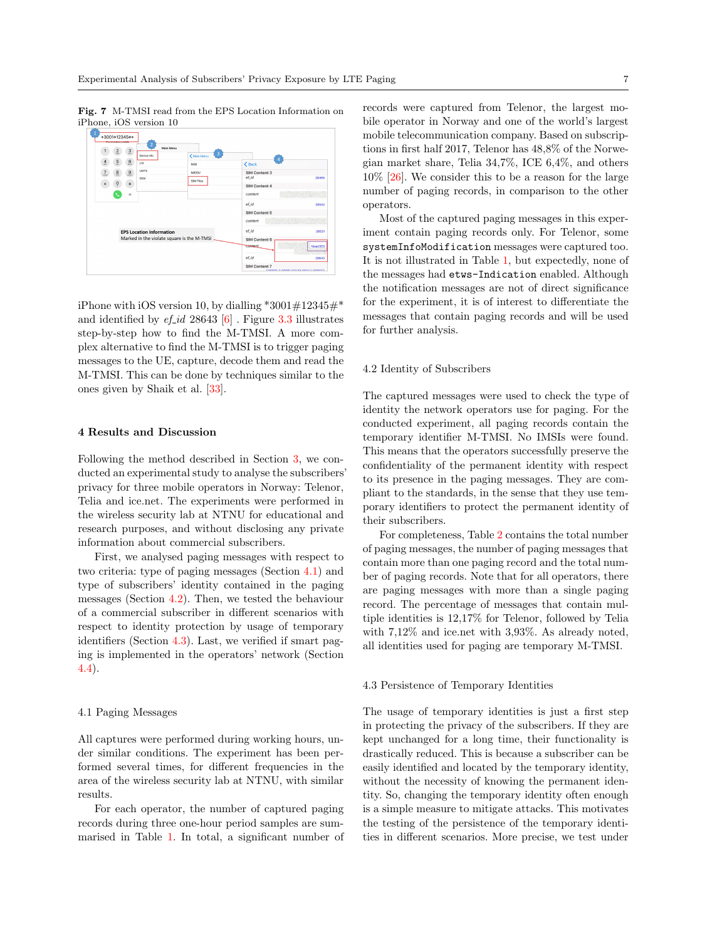Fig. 7 M-TMSI read from the EPS Location Information on iPhone, iOS version 10



iPhone with iOS version 10, by dialling  $*3001\#12345\#*$ and identified by  $ef_id$  28643 [6]. Figure 3.3 illustrates step-by-step how to find the M-TMSI. A more complex alternative to find the M-TMSI is to trigger paging messages to the UE, capture, decode them and read the M-TMSI. This can be done by techniques similar to the ones given by Shaik et al. [33].

# 4 Results and Discussion

Following the method described in Section 3, we conducted an experimental study to analyse the subscribers' privacy for three mobile operators in Norway: Telenor, Telia and ice.net. The experiments were performed in the wireless security lab at NTNU for educational and research purposes, and without disclosing any private information about commercial subscribers.

First, we analysed paging messages with respect to two criteria: type of paging messages (Section 4.1) and type of subscribers' identity contained in the paging messages (Section 4.2). Then, we tested the behaviour of a commercial subscriber in different scenarios with respect to identity protection by usage of temporary identifiers (Section 4.3). Last, we verified if smart paging is implemented in the operators' network (Section 4.4).

# 4.1 Paging Messages

All captures were performed during working hours, under similar conditions. The experiment has been performed several times, for different frequencies in the area of the wireless security lab at NTNU, with similar results.

For each operator, the number of captured paging records during three one-hour period samples are summarised in Table 1. In total, a significant number of

records were captured from Telenor, the largest mobile operator in Norway and one of the world's largest mobile telecommunication company. Based on subscriptions in first half 2017, Telenor has 48,8% of the Norwegian market share, Telia 34,7%, ICE 6,4%, and others 10% [26]. We consider this to be a reason for the large number of paging records, in comparison to the other operators.

Most of the captured paging messages in this experiment contain paging records only. For Telenor, some systemInfoModification messages were captured too. It is not illustrated in Table 1, but expectedly, none of the messages had etws-Indication enabled. Although the notification messages are not of direct significance for the experiment, it is of interest to differentiate the messages that contain paging records and will be used for further analysis.

# 4.2 Identity of Subscribers

The captured messages were used to check the type of identity the network operators use for paging. For the conducted experiment, all paging records contain the temporary identifier M-TMSI. No IMSIs were found. This means that the operators successfully preserve the confidentiality of the permanent identity with respect to its presence in the paging messages. They are compliant to the standards, in the sense that they use temporary identifiers to protect the permanent identity of their subscribers.

For completeness, Table 2 contains the total number of paging messages, the number of paging messages that contain more than one paging record and the total number of paging records. Note that for all operators, there are paging messages with more than a single paging record. The percentage of messages that contain multiple identities is 12,17% for Telenor, followed by Telia with 7,12% and ice.net with 3,93%. As already noted, all identities used for paging are temporary M-TMSI.

#### 4.3 Persistence of Temporary Identities

The usage of temporary identities is just a first step in protecting the privacy of the subscribers. If they are kept unchanged for a long time, their functionality is drastically reduced. This is because a subscriber can be easily identified and located by the temporary identity, without the necessity of knowing the permanent identity. So, changing the temporary identity often enough is a simple measure to mitigate attacks. This motivates the testing of the persistence of the temporary identities in different scenarios. More precise, we test under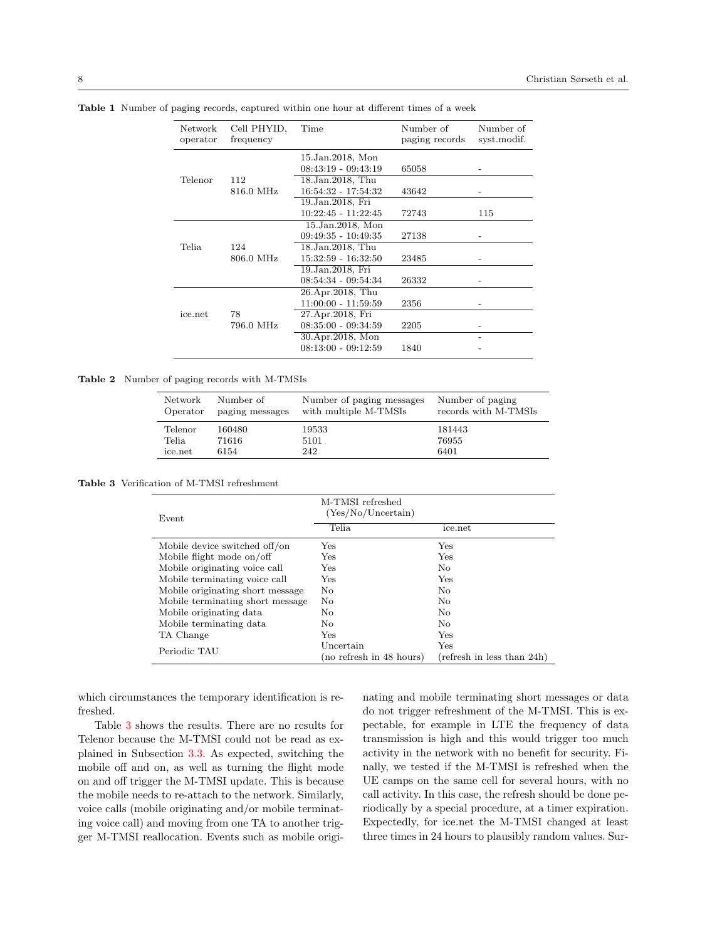| Network<br>operator | Cell PHYID,<br>frequency | Time                  | Number of<br>paging records | Number of<br>syst.modif. |
|---------------------|--------------------------|-----------------------|-----------------------------|--------------------------|
|                     |                          | 15.Jan.2018, Mon      |                             |                          |
|                     |                          | $08:43:19 - 09:43:19$ | 65058                       |                          |
| Telenor             | 112                      | 18.Jan.2018, Thu      |                             |                          |
|                     | 816.0 MHz                | $16:54:32 - 17:54:32$ | 43642                       |                          |
|                     |                          | 19.Jan.2018, Fri      |                             |                          |
|                     |                          | $10:22:45 - 11:22:45$ | 72743                       | 115                      |
|                     |                          | 15.Jan.2018, Mon      |                             |                          |
|                     |                          | $09:49:35 - 10:49:35$ | 27138                       |                          |
| Telia.              | 124                      | 18.Jan.2018, Thu      |                             |                          |
|                     | 806.0 MHz                | $15:32:59 - 16:32:50$ | 23485                       |                          |
|                     |                          | 19.Jan.2018, Fri      |                             |                          |
|                     |                          | $08:54:34 - 09:54:34$ | 26332                       |                          |
|                     |                          | 26.Apr.2018, Thu      |                             |                          |
|                     |                          | $11:00:00 - 11:59:59$ | 2356                        |                          |
| ice.net             | 78                       | 27.Apr.2018, Fri      |                             |                          |
|                     | 796.0 MHz                | $08:35:00 - 09:34:59$ | 2205                        |                          |
|                     |                          | 30.Apr.2018, Mon      |                             |                          |
|                     |                          | $08:13:00 - 09:12:59$ | 1840                        |                          |
|                     |                          |                       |                             |                          |

Table 1 Number of paging records, captured within one hour at different times of a week

Table 2 Number of paging records with M-TMSIs

| Network  | Number of       | Number of paging messages | Number of paging     |
|----------|-----------------|---------------------------|----------------------|
| Operator | paging messages | with multiple M-TMSIs     | records with M-TMSIs |
| Telenor  | 160480          | 19533                     | 181443               |
| Telia.   | 71616           | 5101                      | 76955                |
| ice.net  | 6154            | 242                       | 6401                 |

Table 3 Verification of M-TMSI refreshment

| Event                            | M-TMSI refreshed<br>(Yes/No/Uncertain) |                                   |  |
|----------------------------------|----------------------------------------|-----------------------------------|--|
|                                  | Telia                                  | ice.net                           |  |
| Mobile device switched off/on    | Yes                                    | Yes                               |  |
| Mobile flight mode on/off        | Yes                                    | Yes                               |  |
| Mobile originating voice call    | Yes                                    | No                                |  |
| Mobile terminating voice call    | Yes                                    | Yes                               |  |
| Mobile originating short message | No                                     | No                                |  |
| Mobile terminating short message | No                                     | No                                |  |
| Mobile originating data          | No                                     | No                                |  |
| Mobile terminating data          | No                                     | No                                |  |
| TA Change                        | Yes                                    | Yes                               |  |
| Periodic TAU                     | Uncertain<br>(no refresh in 48 hours)  | Yes<br>(refresh in less than 24h) |  |

which circumstances the temporary identification is refreshed.

Table 3 shows the results. There are no results for Telenor because the M-TMSI could not be read as explained in Subsection 3.3. As expected, switching the mobile off and on, as well as turning the flight mode on and off trigger the M-TMSI update. This is because the mobile needs to re-attach to the network. Similarly, voice calls (mobile originating and/or mobile terminating voice call) and moving from one TA to another trigger M-TMSI reallocation. Events such as mobile origi-

nating and mobile terminating short messages or data do not trigger refreshment of the M-TMSI. This is expectable, for example in LTE the frequency of data transmission is high and this would trigger too much activity in the network with no benefit for security. Finally, we tested if the M-TMSI is refreshed when the UE camps on the same cell for several hours, with no call activity. In this case, the refresh should be done periodically by a special procedure, at a timer expiration. Expectedly, for ice.net the M-TMSI changed at least three times in 24 hours to plausibly random values. Sur-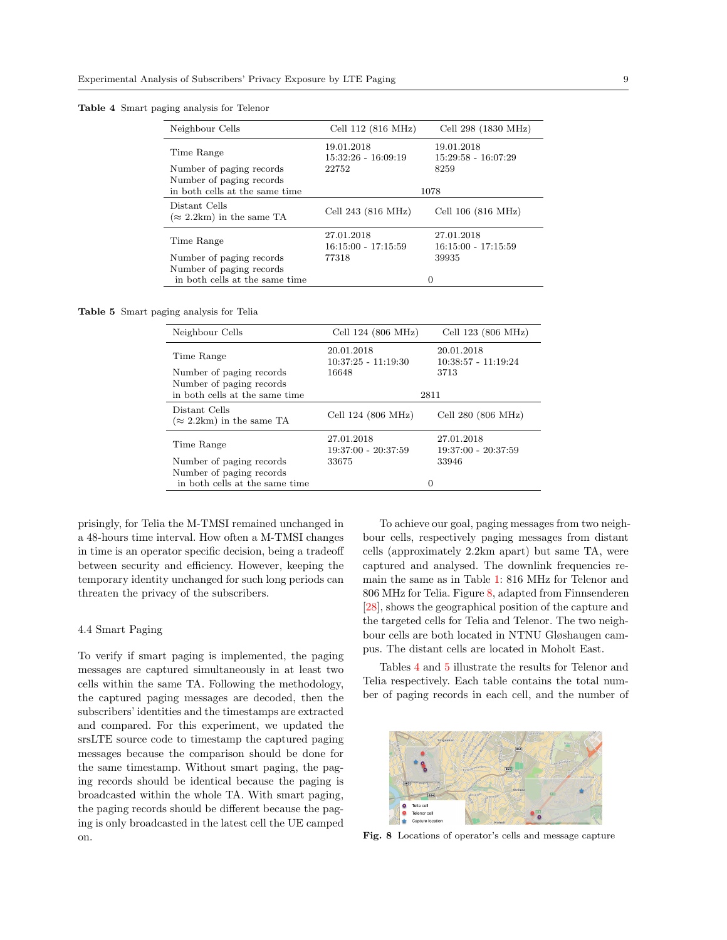Table 4 Smart paging analysis for Telenor

| Neighbour Cells                                                    | Cell 112 (816 MHz)                           | Cell 298 (1830 MHz)                         |  |
|--------------------------------------------------------------------|----------------------------------------------|---------------------------------------------|--|
| Time Range<br>Number of paging records<br>Number of paging records | 19.01.2018<br>$15:32:26 - 16:09:19$<br>22752 | 19.01.2018<br>$15:29:58 - 16:07:29$<br>8259 |  |
| in both cells at the same time                                     | 1078                                         |                                             |  |
| Distant Cells<br>$(\approx 2.2 \text{km})$ in the same TA          | Cell 243 (816 MHz)                           | Cell 106 (816 MHz)                          |  |
| Time Range                                                         | 27.01.2018<br>$16:15:00 - 17:15:59$          | 27.01.2018<br>$16:15:00 - 17:15:59$         |  |
| Number of paging records                                           | 77318                                        | 39935                                       |  |
| Number of paging records                                           |                                              |                                             |  |
| in both cells at the same time                                     | 0                                            |                                             |  |

Table 5 Smart paging analysis for Telia

| Neighbour Cells                                                    | Cell 124 (806 MHz)                           | Cell 123 (806 MHz)                          |  |
|--------------------------------------------------------------------|----------------------------------------------|---------------------------------------------|--|
| Time Range<br>Number of paging records<br>Number of paging records | 20.01.2018<br>$10:37:25 - 11:19:30$<br>16648 | 20.01.2018<br>$10:38:57 - 11:19:24$<br>3713 |  |
| in both cells at the same time                                     | 2811                                         |                                             |  |
| Distant Cells<br>( $\approx$ 2.2km) in the same TA                 | Cell 124 (806 MHz)                           | Cell 280 (806 MHz)                          |  |
| Time Range                                                         | 27.01.2018<br>$19:37:00 - 20:37:59$          | 27.01.2018<br>19:37:00 - 20:37:59           |  |
| Number of paging records                                           | 33675                                        | 33946                                       |  |
| Number of paging records<br>in both cells at the same time         |                                              | 0                                           |  |

prisingly, for Telia the M-TMSI remained unchanged in a 48-hours time interval. How often a M-TMSI changes in time is an operator specific decision, being a tradeoff between security and efficiency. However, keeping the temporary identity unchanged for such long periods can threaten the privacy of the subscribers.

#### 4.4 Smart Paging

To verify if smart paging is implemented, the paging messages are captured simultaneously in at least two cells within the same TA. Following the methodology, the captured paging messages are decoded, then the subscribers' identities and the timestamps are extracted and compared. For this experiment, we updated the srsLTE source code to timestamp the captured paging messages because the comparison should be done for the same timestamp. Without smart paging, the paging records should be identical because the paging is broadcasted within the whole TA. With smart paging, the paging records should be different because the paging is only broadcasted in the latest cell the UE camped on.

To achieve our goal, paging messages from two neighbour cells, respectively paging messages from distant cells (approximately 2.2km apart) but same TA, were captured and analysed. The downlink frequencies remain the same as in Table 1: 816 MHz for Telenor and 806 MHz for Telia. Figure 8, adapted from Finnsenderen [28], shows the geographical position of the capture and the targeted cells for Telia and Telenor. The two neighbour cells are both located in NTNU Gløshaugen campus. The distant cells are located in Moholt East.

Tables 4 and 5 illustrate the results for Telenor and Telia respectively. Each table contains the total number of paging records in each cell, and the number of



Fig. 8 Locations of operator's cells and message capture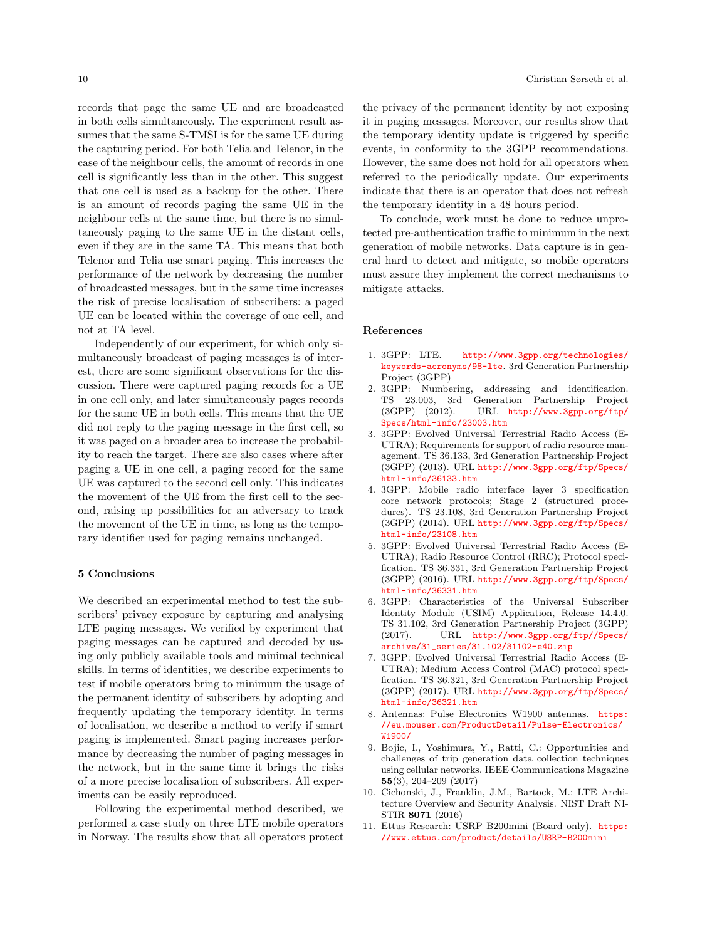records that page the same UE and are broadcasted in both cells simultaneously. The experiment result assumes that the same S-TMSI is for the same UE during the capturing period. For both Telia and Telenor, in the case of the neighbour cells, the amount of records in one cell is significantly less than in the other. This suggest that one cell is used as a backup for the other. There is an amount of records paging the same UE in the neighbour cells at the same time, but there is no simultaneously paging to the same UE in the distant cells, even if they are in the same TA. This means that both Telenor and Telia use smart paging. This increases the performance of the network by decreasing the number of broadcasted messages, but in the same time increases the risk of precise localisation of subscribers: a paged UE can be located within the coverage of one cell, and not at TA level.

Independently of our experiment, for which only simultaneously broadcast of paging messages is of interest, there are some significant observations for the discussion. There were captured paging records for a UE in one cell only, and later simultaneously pages records for the same UE in both cells. This means that the UE did not reply to the paging message in the first cell, so it was paged on a broader area to increase the probability to reach the target. There are also cases where after paging a UE in one cell, a paging record for the same UE was captured to the second cell only. This indicates the movement of the UE from the first cell to the second, raising up possibilities for an adversary to track the movement of the UE in time, as long as the temporary identifier used for paging remains unchanged.

# 5 Conclusions

We described an experimental method to test the subscribers' privacy exposure by capturing and analysing LTE paging messages. We verified by experiment that paging messages can be captured and decoded by using only publicly available tools and minimal technical skills. In terms of identities, we describe experiments to test if mobile operators bring to minimum the usage of the permanent identity of subscribers by adopting and frequently updating the temporary identity. In terms of localisation, we describe a method to verify if smart paging is implemented. Smart paging increases performance by decreasing the number of paging messages in the network, but in the same time it brings the risks of a more precise localisation of subscribers. All experiments can be easily reproduced.

Following the experimental method described, we performed a case study on three LTE mobile operators in Norway. The results show that all operators protect

the privacy of the permanent identity by not exposing it in paging messages. Moreover, our results show that the temporary identity update is triggered by specific events, in conformity to the 3GPP recommendations. However, the same does not hold for all operators when referred to the periodically update. Our experiments indicate that there is an operator that does not refresh the temporary identity in a 48 hours period.

To conclude, work must be done to reduce unprotected pre-authentication traffic to minimum in the next generation of mobile networks. Data capture is in general hard to detect and mitigate, so mobile operators must assure they implement the correct mechanisms to mitigate attacks.

## References

- 1. 3GPP: LTE. http://www.3gpp.org/technologies/ keywords-acronyms/98-lte. 3rd Generation Partnership Project (3GPP)<br>2. 3GPP: Numbering,
- addressing and identification. TS 23.003, 3rd Generation Partnership Project (3GPP) (2012). URL http://www.3gpp.org/ftp/ URL http://www.3gpp.org/ftp/ Specs/html-info/23003.htm
- 3. 3GPP: Evolved Universal Terrestrial Radio Access (E-UTRA); Requirements for support of radio resource management. TS 36.133, 3rd Generation Partnership Project (3GPP) (2013). URL http://www.3gpp.org/ftp/Specs/ html-info/36133.htm
- 4. 3GPP: Mobile radio interface layer 3 specification core network protocols; Stage 2 (structured procedures). TS 23.108, 3rd Generation Partnership Project (3GPP) (2014). URL http://www.3gpp.org/ftp/Specs/ html-info/23108.htm
- 5. 3GPP: Evolved Universal Terrestrial Radio Access (E-UTRA); Radio Resource Control (RRC); Protocol specification. TS 36.331, 3rd Generation Partnership Project (3GPP) (2016). URL http://www.3gpp.org/ftp/Specs/ html-info/36331.htm
- 6. 3GPP: Characteristics of the Universal Subscriber Identity Module (USIM) Application, Release 14.4.0. TS 31.102, 3rd Generation Partnership Project (3GPP) (2017). URL http://www.3gpp.org/ftp//Specs/ archive/31\_series/31.102/31102-e40.zip
- 7. 3GPP: Evolved Universal Terrestrial Radio Access (E-UTRA); Medium Access Control (MAC) protocol specification. TS 36.321, 3rd Generation Partnership Project (3GPP) (2017). URL http://www.3gpp.org/ftp/Specs/ html-info/36321.htm
- 8. Antennas: Pulse Electronics W1900 antennas. https: //eu.mouser.com/ProductDetail/Pulse-Electronics/ W1900/
- 9. Bojic, I., Yoshimura, Y., Ratti, C.: Opportunities and challenges of trip generation data collection techniques using cellular networks. IEEE Communications Magazine 55(3), 204–209 (2017)
- 10. Cichonski, J., Franklin, J.M., Bartock, M.: LTE Architecture Overview and Security Analysis. NIST Draft NI-STIR 8071 (2016)
- 11. Ettus Research: USRP B200mini (Board only). https: //www.ettus.com/product/details/USRP-B200mini